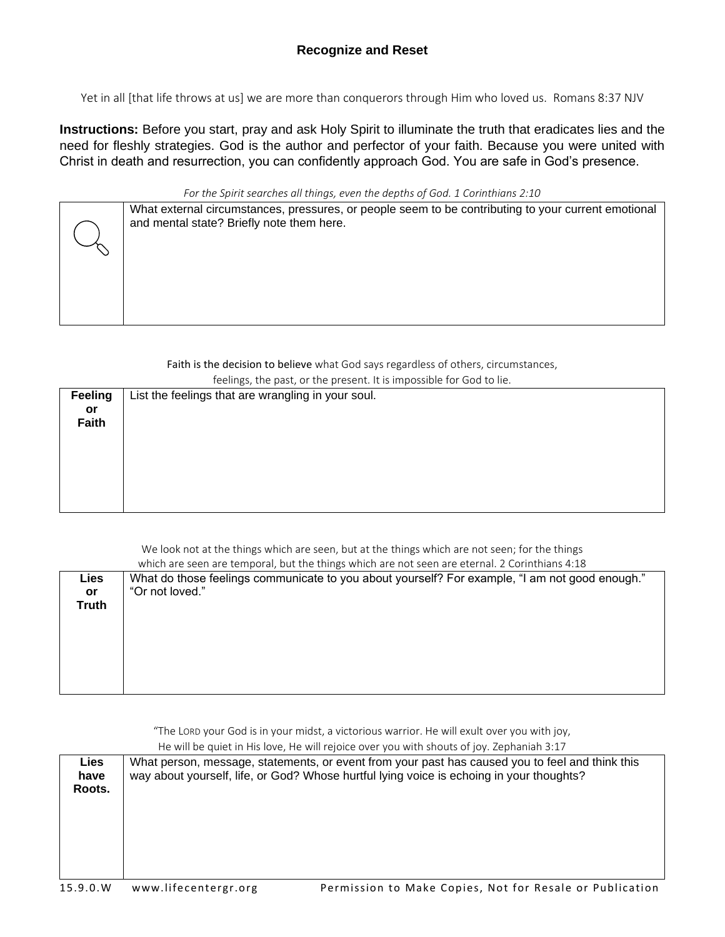## **Recognize and Reset**

Yet in all [that life throws at us] we are more than conquerors through Him who loved us. Romans 8:37 NJV

**Instructions:** Before you start, pray and ask Holy Spirit to illuminate the truth that eradicates lies and the need for fleshly strategies. God is the author and perfector of your faith. Because you were united with Christ in death and resurrection, you can confidently approach God. You are safe in God's presence.

*For the Spirit searches all things, even the depths of God. 1 Corinthians 2:10*

| What external circumstances, pressures, or people seem to be contributing to your current emotional<br>and mental state? Briefly note them here. |
|--------------------------------------------------------------------------------------------------------------------------------------------------|
|                                                                                                                                                  |
|                                                                                                                                                  |
|                                                                                                                                                  |

Faith is the decision to believe what God says regardless of others, circumstances,

|                | feelings, the past, or the present. It is impossible for God to lie. |
|----------------|----------------------------------------------------------------------|
| <b>Feeling</b> | List the feelings that are wrangling in your soul.                   |
| or             |                                                                      |
| Faith          |                                                                      |
|                |                                                                      |
|                |                                                                      |
|                |                                                                      |
|                |                                                                      |
|                |                                                                      |
|                |                                                                      |

We look not at the things which are seen, but at the things which are not seen; for the things which are seen are temporal, but the things which are not seen are eternal. 2 Corinthians 4:18

|                      | which are seen are temporal, but the things which are not seen are eternal. 2 Corinthians 4:18                    |
|----------------------|-------------------------------------------------------------------------------------------------------------------|
| Lies<br>or.<br>Truth | What do those feelings communicate to you about yourself? For example, "I am not good enough."<br>"Or not loved." |
|                      |                                                                                                                   |

"The LORD your God is in your midst, a victorious warrior. He will exult over you with joy,

He will be quiet in His love, He will rejoice over you with shouts of joy. Zephaniah 3:17

| Lies<br>have | What person, message, statements, or event from your past has caused you to feel and think this<br>way about yourself, life, or God? Whose hurtful lying voice is echoing in your thoughts? |
|--------------|---------------------------------------------------------------------------------------------------------------------------------------------------------------------------------------------|
| Roots.       |                                                                                                                                                                                             |
|              |                                                                                                                                                                                             |
|              |                                                                                                                                                                                             |
|              |                                                                                                                                                                                             |